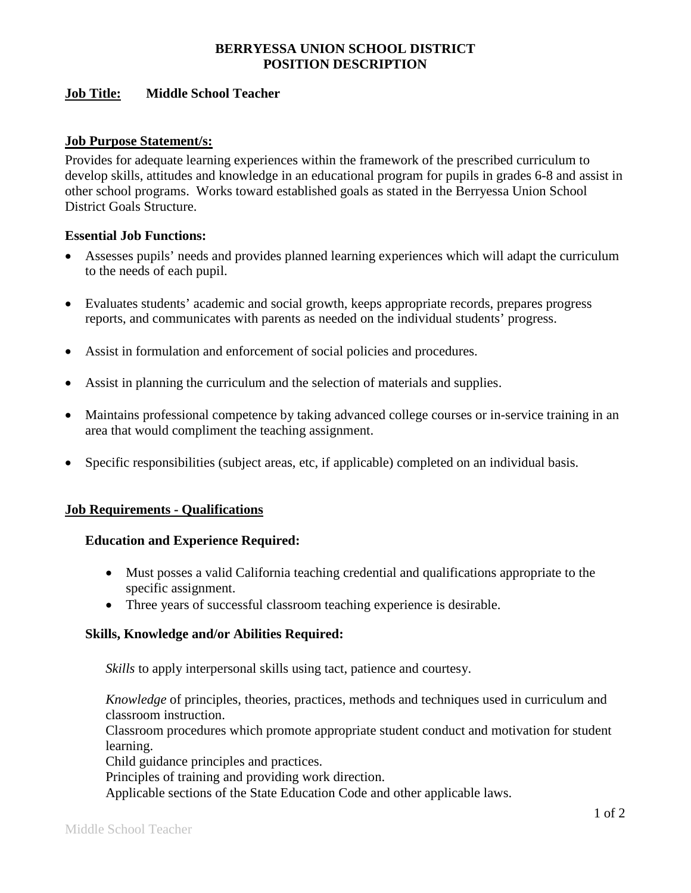# **BERRYESSA UNION SCHOOL DISTRICT POSITION DESCRIPTION**

## **Job Title: Middle School Teacher**

#### **Job Purpose Statement/s:**

Provides for adequate learning experiences within the framework of the prescribed curriculum to develop skills, attitudes and knowledge in an educational program for pupils in grades 6-8 and assist in other school programs. Works toward established goals as stated in the Berryessa Union School District Goals Structure.

# **Essential Job Functions:**

- Assesses pupils' needs and provides planned learning experiences which will adapt the curriculum to the needs of each pupil.
- Evaluates students' academic and social growth, keeps appropriate records, prepares progress reports, and communicates with parents as needed on the individual students' progress.
- Assist in formulation and enforcement of social policies and procedures.
- Assist in planning the curriculum and the selection of materials and supplies.
- Maintains professional competence by taking advanced college courses or in-service training in an area that would compliment the teaching assignment.
- Specific responsibilities (subject areas, etc, if applicable) completed on an individual basis.

#### **Job Requirements - Qualifications**

#### **Education and Experience Required:**

- Must posses a valid California teaching credential and qualifications appropriate to the specific assignment.
- Three years of successful classroom teaching experience is desirable.

#### **Skills, Knowledge and/or Abilities Required:**

*Skills* to apply interpersonal skills using tact, patience and courtesy.

*Knowledge* of principles, theories, practices, methods and techniques used in curriculum and classroom instruction.

Classroom procedures which promote appropriate student conduct and motivation for student learning.

Child guidance principles and practices.

Principles of training and providing work direction.

Applicable sections of the State Education Code and other applicable laws.